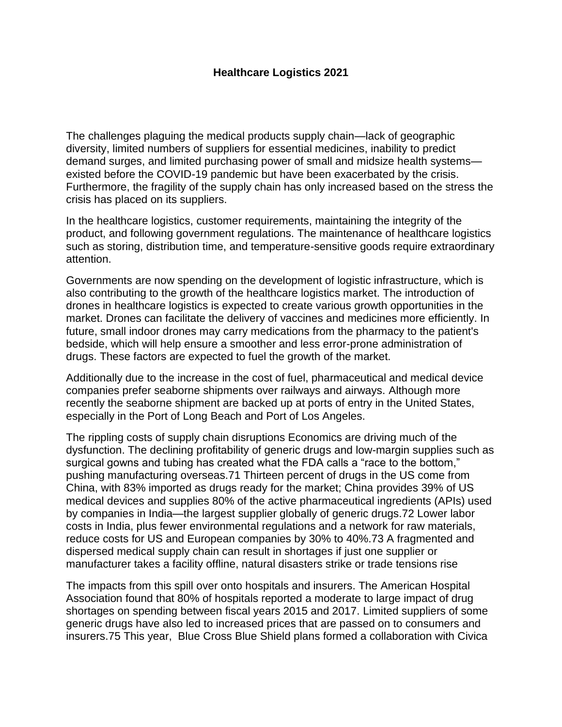## **Healthcare Logistics 2021**

The challenges plaguing the medical products supply chain—lack of geographic diversity, limited numbers of suppliers for essential medicines, inability to predict demand surges, and limited purchasing power of small and midsize health systems existed before the COVID-19 pandemic but have been exacerbated by the crisis. Furthermore, the fragility of the supply chain has only increased based on the stress the crisis has placed on its suppliers.

In the healthcare logistics, customer requirements, maintaining the integrity of the product, and following government regulations. The maintenance of healthcare logistics such as storing, distribution time, and temperature-sensitive goods require extraordinary attention.

Governments are now spending on the development of logistic infrastructure, which is also contributing to the growth of the healthcare logistics market. The introduction of drones in healthcare logistics is expected to create various growth opportunities in the market. Drones can facilitate the delivery of vaccines and medicines more efficiently. In future, small indoor drones may carry medications from the pharmacy to the patient's bedside, which will help ensure a smoother and less error-prone administration of drugs. These factors are expected to fuel the growth of the market.

Additionally due to the increase in the cost of fuel, pharmaceutical and medical device companies prefer seaborne shipments over railways and airways. Although more recently the seaborne shipment are backed up at ports of entry in the United States, especially in the Port of Long Beach and Port of Los Angeles.

The rippling costs of supply chain disruptions Economics are driving much of the dysfunction. The declining profitability of generic drugs and low-margin supplies such as surgical gowns and tubing has created what the FDA calls a "race to the bottom," pushing manufacturing overseas.71 Thirteen percent of drugs in the US come from China, with 83% imported as drugs ready for the market; China provides 39% of US medical devices and supplies 80% of the active pharmaceutical ingredients (APIs) used by companies in India—the largest supplier globally of generic drugs.72 Lower labor costs in India, plus fewer environmental regulations and a network for raw materials, reduce costs for US and European companies by 30% to 40%.73 A fragmented and dispersed medical supply chain can result in shortages if just one supplier or manufacturer takes a facility offline, natural disasters strike or trade tensions rise

The impacts from this spill over onto hospitals and insurers. The American Hospital Association found that 80% of hospitals reported a moderate to large impact of drug shortages on spending between fiscal years 2015 and 2017. Limited suppliers of some generic drugs have also led to increased prices that are passed on to consumers and insurers.75 This year, Blue Cross Blue Shield plans formed a collaboration with Civica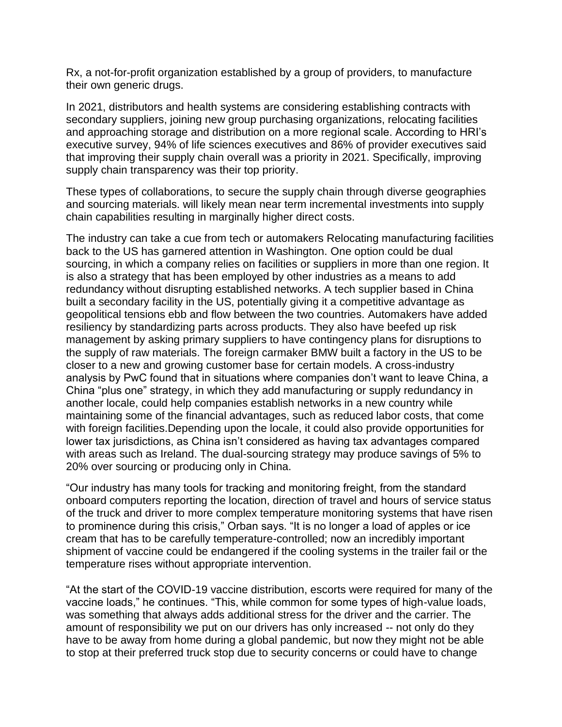Rx, a not-for-profit organization established by a group of providers, to manufacture their own generic drugs.

In 2021, distributors and health systems are considering establishing contracts with secondary suppliers, joining new group purchasing organizations, relocating facilities and approaching storage and distribution on a more regional scale. According to HRI's executive survey, 94% of life sciences executives and 86% of provider executives said that improving their supply chain overall was a priority in 2021. Specifically, improving supply chain transparency was their top priority.

These types of collaborations, to secure the supply chain through diverse geographies and sourcing materials. will likely mean near term incremental investments into supply chain capabilities resulting in marginally higher direct costs.

The industry can take a cue from tech or automakers Relocating manufacturing facilities back to the US has garnered attention in Washington. One option could be dual sourcing, in which a company relies on facilities or suppliers in more than one region. It is also a strategy that has been employed by other industries as a means to add redundancy without disrupting established networks. A tech supplier based in China built a secondary facility in the US, potentially giving it a competitive advantage as geopolitical tensions ebb and flow between the two countries. Automakers have added resiliency by standardizing parts across products. They also have beefed up risk management by asking primary suppliers to have contingency plans for disruptions to the supply of raw materials. The foreign carmaker BMW built a factory in the US to be closer to a new and growing customer base for certain models. A cross-industry analysis by PwC found that in situations where companies don't want to leave China, a China "plus one" strategy, in which they add manufacturing or supply redundancy in another locale, could help companies establish networks in a new country while maintaining some of the financial advantages, such as reduced labor costs, that come with foreign facilities.Depending upon the locale, it could also provide opportunities for lower tax jurisdictions, as China isn't considered as having tax advantages compared with areas such as Ireland. The dual-sourcing strategy may produce savings of 5% to 20% over sourcing or producing only in China.

"Our industry has many tools for tracking and monitoring freight, from the standard onboard computers reporting the location, direction of travel and hours of service status of the truck and driver to more complex temperature monitoring systems that have risen to prominence during this crisis," Orban says. "It is no longer a load of apples or ice cream that has to be carefully temperature-controlled; now an incredibly important shipment of vaccine could be endangered if the cooling systems in the trailer fail or the temperature rises without appropriate intervention.

"At the start of the COVID-19 vaccine distribution, escorts were required for many of the vaccine loads," he continues. "This, while common for some types of high-value loads, was something that always adds additional stress for the driver and the carrier. The amount of responsibility we put on our drivers has only increased -- not only do they have to be away from home during a global pandemic, but now they might not be able to stop at their preferred truck stop due to security concerns or could have to change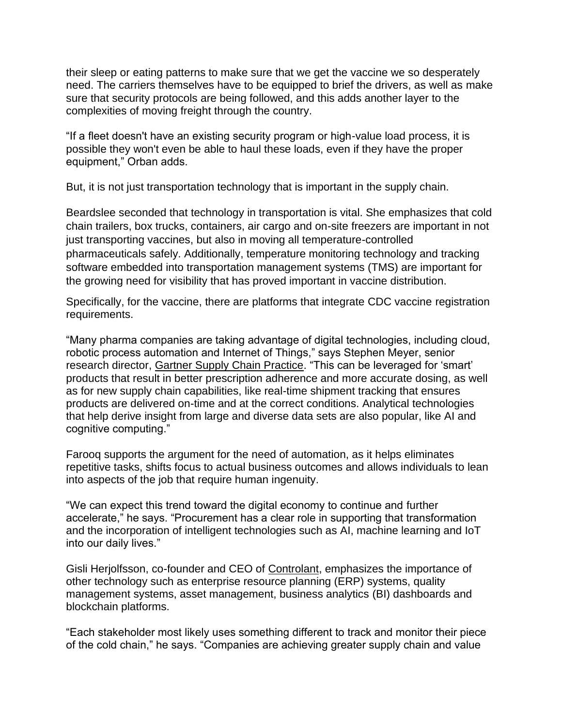their sleep or eating patterns to make sure that we get the vaccine we so desperately need. The carriers themselves have to be equipped to brief the drivers, as well as make sure that security protocols are being followed, and this adds another layer to the complexities of moving freight through the country.

"If a fleet doesn't have an existing security program or high-value load process, it is possible they won't even be able to haul these loads, even if they have the proper equipment," Orban adds.

But, it is not just transportation technology that is important in the supply chain.

Beardslee seconded that technology in transportation is vital. She emphasizes that cold chain trailers, box trucks, containers, air cargo and on-site freezers are important in not just transporting vaccines, but also in moving all temperature-controlled pharmaceuticals safely. Additionally, temperature monitoring technology and tracking software embedded into transportation management systems (TMS) are important for the growing need for visibility that has proved important in vaccine distribution.

Specifically, for the vaccine, there are platforms that integrate CDC vaccine registration requirements.

"Many pharma companies are taking advantage of digital technologies, including cloud, robotic process automation and Internet of Things," says Stephen Meyer, senior research director, [Gartner Supply Chain Practice.](https://www.sdcexec.com/home/company/10834993/gartner-inc) "This can be leveraged for 'smart' products that result in better prescription adherence and more accurate dosing, as well as for new supply chain capabilities, like real-time shipment tracking that ensures products are delivered on-time and at the correct conditions. Analytical technologies that help derive insight from large and diverse data sets are also popular, like AI and cognitive computing."

Farooq supports the argument for the need of automation, as it helps eliminates repetitive tasks, shifts focus to actual business outcomes and allows individuals to lean into aspects of the job that require human ingenuity.

"We can expect this trend toward the digital economy to continue and further accelerate," he says. "Procurement has a clear role in supporting that transformation and the incorporation of intelligent technologies such as AI, machine learning and IoT into our daily lives."

Gisli Herjolfsson, co-founder and CEO of [Controlant,](https://www.sdcexec.com/warehousing/company/21195168/controlant) emphasizes the importance of other technology such as enterprise resource planning (ERP) systems, quality management systems, asset management, business analytics (BI) dashboards and blockchain platforms.

"Each stakeholder most likely uses something different to track and monitor their piece of the cold chain," he says. "Companies are achieving greater supply chain and value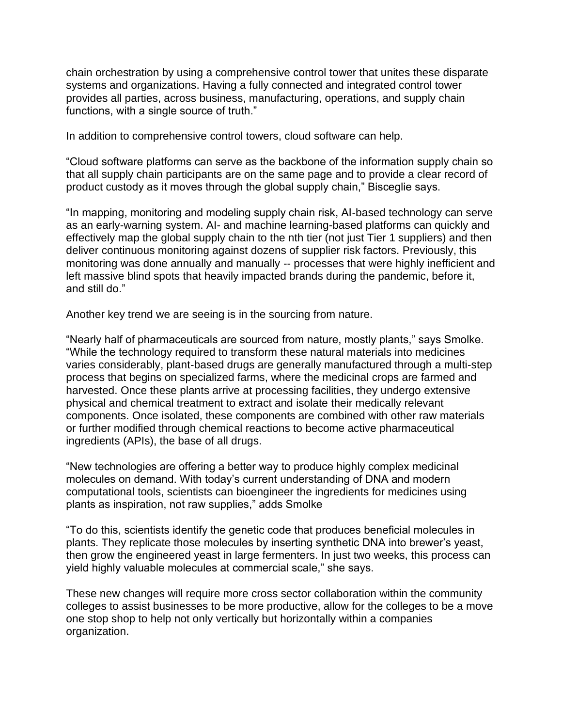chain orchestration by using a comprehensive control tower that unites these disparate systems and organizations. Having a fully connected and integrated control tower provides all parties, across business, manufacturing, operations, and supply chain functions, with a single source of truth."

In addition to comprehensive control towers, cloud software can help.

"Cloud software platforms can serve as the backbone of the information supply chain so that all supply chain participants are on the same page and to provide a clear record of product custody as it moves through the global supply chain," Bisceglie says.

"In mapping, monitoring and modeling supply chain risk, AI-based technology can serve as an early-warning system. AI- and machine learning-based platforms can quickly and effectively map the global supply chain to the nth tier (not just Tier 1 suppliers) and then deliver continuous monitoring against dozens of supplier risk factors. Previously, this monitoring was done annually and manually -- processes that were highly inefficient and left massive blind spots that heavily impacted brands during the pandemic, before it, and still do."

Another key trend we are seeing is in the sourcing from nature.

"Nearly half of pharmaceuticals are sourced from nature, mostly plants," says Smolke. "While the technology required to transform these natural materials into medicines varies considerably, plant-based drugs are generally manufactured through a multi-step process that begins on specialized farms, where the medicinal crops are farmed and harvested. Once these plants arrive at processing facilities, they undergo extensive physical and chemical treatment to extract and isolate their medically relevant components. Once isolated, these components are combined with other raw materials or further modified through chemical reactions to become active pharmaceutical ingredients (APIs), the base of all drugs.

"New technologies are offering a better way to produce highly complex medicinal molecules on demand. With today's current understanding of DNA and modern computational tools, scientists can bioengineer the ingredients for medicines using plants as inspiration, not raw supplies," adds Smolke

"To do this, scientists identify the genetic code that produces beneficial molecules in plants. They replicate those molecules by inserting synthetic DNA into brewer's yeast, then grow the engineered yeast in large fermenters. In just two weeks, this process can yield highly valuable molecules at commercial scale," she says.

These new changes will require more cross sector collaboration within the community colleges to assist businesses to be more productive, allow for the colleges to be a move one stop shop to help not only vertically but horizontally within a companies organization.